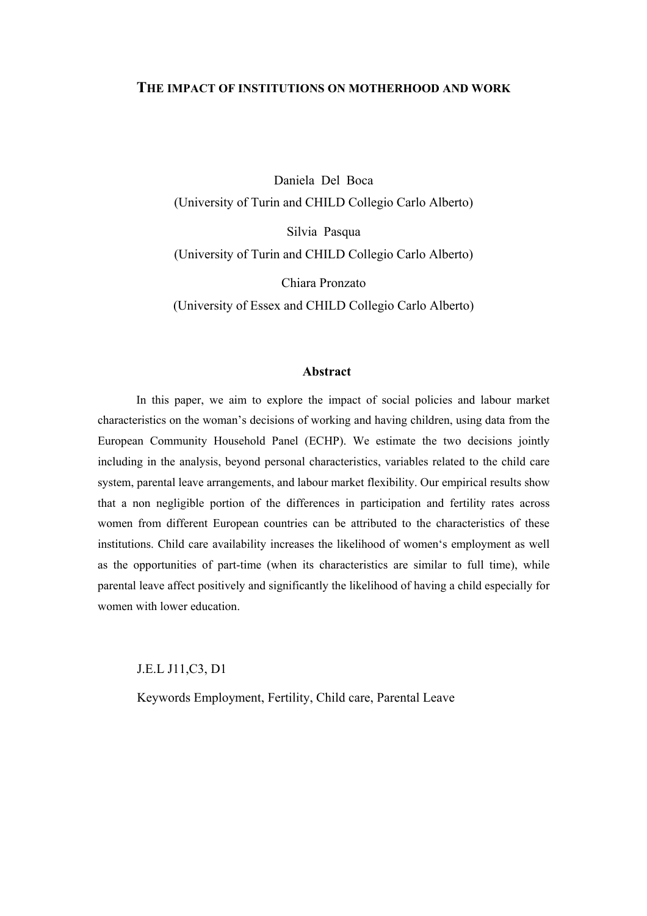### **THE IMPACT OF INSTITUTIONS ON MOTHERHOOD AND WORK**

Daniela Del Boca (University of Turin and CHILD Collegio Carlo Alberto) Silvia Pasqua (University of Turin and CHILD Collegio Carlo Alberto)

Chiara Pronzato (University of Essex and CHILD Collegio Carlo Alberto)

#### **Abstract**

In this paper, we aim to explore the impact of social policies and labour market characteristics on the woman's decisions of working and having children, using data from the European Community Household Panel (ECHP). We estimate the two decisions jointly including in the analysis, beyond personal characteristics, variables related to the child care system, parental leave arrangements, and labour market flexibility. Our empirical results show that a non negligible portion of the differences in participation and fertility rates across women from different European countries can be attributed to the characteristics of these institutions. Child care availability increases the likelihood of women's employment as well as the opportunities of part-time (when its characteristics are similar to full time), while parental leave affect positively and significantly the likelihood of having a child especially for women with lower education.

J.E.L J11,C3, D1

Keywords Employment, Fertility, Child care, Parental Leave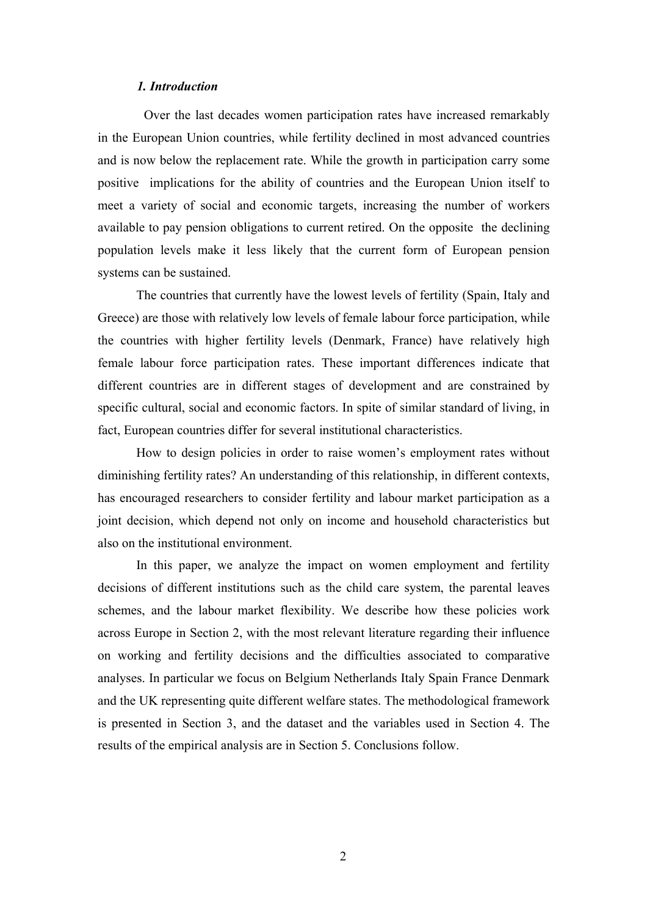#### *1. Introduction*

 Over the last decades women participation rates have increased remarkably in the European Union countries, while fertility declined in most advanced countries and is now below the replacement rate. While the growth in participation carry some positive implications for the ability of countries and the European Union itself to meet a variety of social and economic targets, increasing the number of workers available to pay pension obligations to current retired. On the opposite the declining population levels make it less likely that the current form of European pension systems can be sustained.

The countries that currently have the lowest levels of fertility (Spain, Italy and Greece) are those with relatively low levels of female labour force participation, while the countries with higher fertility levels (Denmark, France) have relatively high female labour force participation rates. These important differences indicate that different countries are in different stages of development and are constrained by specific cultural, social and economic factors. In spite of similar standard of living, in fact, European countries differ for several institutional characteristics.

How to design policies in order to raise women's employment rates without diminishing fertility rates? An understanding of this relationship, in different contexts, has encouraged researchers to consider fertility and labour market participation as a joint decision, which depend not only on income and household characteristics but also on the institutional environment.

In this paper, we analyze the impact on women employment and fertility decisions of different institutions such as the child care system, the parental leaves schemes, and the labour market flexibility. We describe how these policies work across Europe in Section 2, with the most relevant literature regarding their influence on working and fertility decisions and the difficulties associated to comparative analyses. In particular we focus on Belgium Netherlands Italy Spain France Denmark and the UK representing quite different welfare states. The methodological framework is presented in Section 3, and the dataset and the variables used in Section 4. The results of the empirical analysis are in Section 5. Conclusions follow.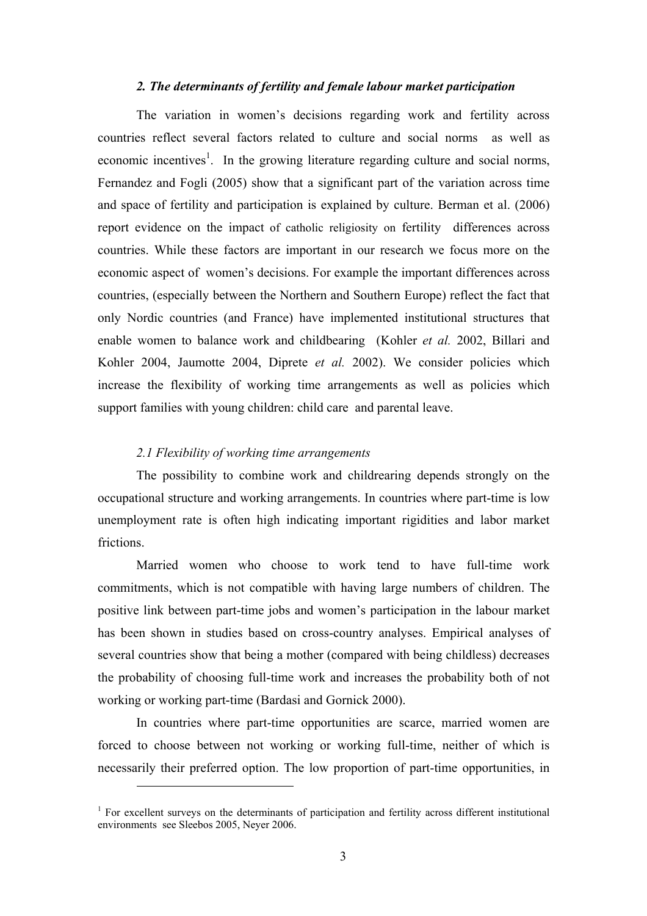#### *2. The determinants of fertility and female labour market participation*

The variation in women's decisions regarding work and fertility across countries reflect several factors related to culture and social norms as well as economic incentives<sup>1</sup>. In the growing literature regarding culture and social norms, Fernandez and Fogli (2005) show that a significant part of the variation across time and space of fertility and participation is explained by culture. Berman et al. (2006) report evidence on the impact of catholic religiosity on fertility differences across countries. While these factors are important in our research we focus more on the economic aspect of women's decisions. For example the important differences across countries, (especially between the Northern and Southern Europe) reflect the fact that only Nordic countries (and France) have implemented institutional structures that enable women to balance work and childbearing (Kohler *et al.* 2002, Billari and Kohler 2004, Jaumotte 2004, Diprete *et al.* 2002). We consider policies which increase the flexibility of working time arrangements as well as policies which support families with young children: child care and parental leave.

### *2.1 Flexibility of working time arrangements*

 $\overline{a}$ 

The possibility to combine work and childrearing depends strongly on the occupational structure and working arrangements. In countries where part-time is low unemployment rate is often high indicating important rigidities and labor market frictions.

Married women who choose to work tend to have full-time work commitments, which is not compatible with having large numbers of children. The positive link between part-time jobs and women's participation in the labour market has been shown in studies based on cross-country analyses. Empirical analyses of several countries show that being a mother (compared with being childless) decreases the probability of choosing full-time work and increases the probability both of not working or working part-time (Bardasi and Gornick 2000).

In countries where part-time opportunities are scarce, married women are forced to choose between not working or working full-time, neither of which is necessarily their preferred option. The low proportion of part-time opportunities, in

<sup>&</sup>lt;sup>1</sup> For excellent surveys on the determinants of participation and fertility across different institutional environments see Sleebos 2005, Neyer 2006.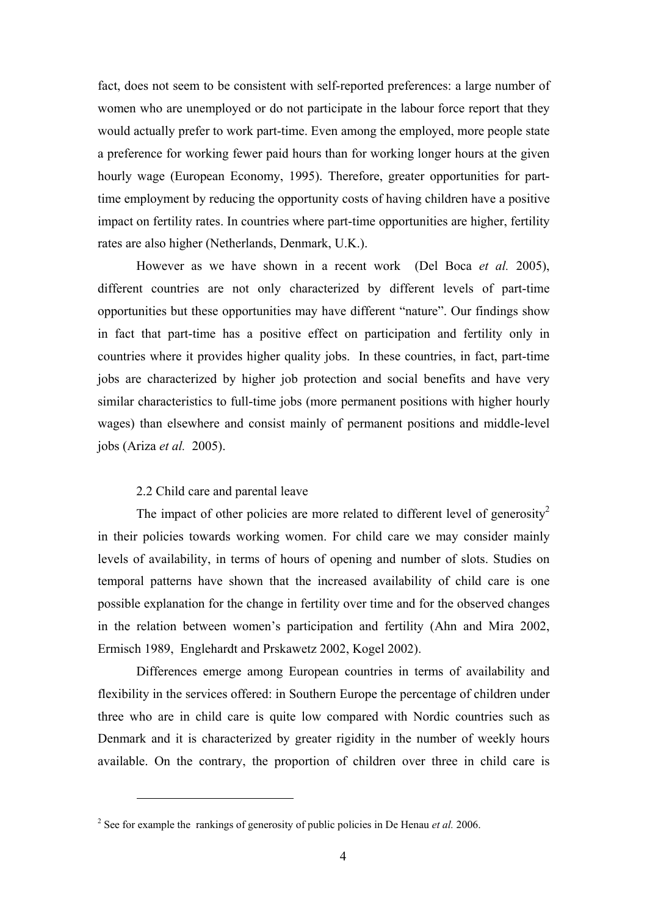fact, does not seem to be consistent with self-reported preferences: a large number of women who are unemployed or do not participate in the labour force report that they would actually prefer to work part-time. Even among the employed, more people state a preference for working fewer paid hours than for working longer hours at the given hourly wage (European Economy, 1995). Therefore, greater opportunities for parttime employment by reducing the opportunity costs of having children have a positive impact on fertility rates. In countries where part-time opportunities are higher, fertility rates are also higher (Netherlands, Denmark, U.K.).

However as we have shown in a recent work (Del Boca *et al.* 2005), different countries are not only characterized by different levels of part-time opportunities but these opportunities may have different "nature". Our findings show in fact that part-time has a positive effect on participation and fertility only in countries where it provides higher quality jobs. In these countries, in fact, part-time jobs are characterized by higher job protection and social benefits and have very similar characteristics to full-time jobs (more permanent positions with higher hourly wages) than elsewhere and consist mainly of permanent positions and middle-level jobs (Ariza *et al.* 2005).

### 2.2 Child care and parental leave

 $\overline{a}$ 

The impact of other policies are more related to different level of generosity<sup>2</sup> in their policies towards working women. For child care we may consider mainly levels of availability, in terms of hours of opening and number of slots. Studies on temporal patterns have shown that the increased availability of child care is one possible explanation for the change in fertility over time and for the observed changes in the relation between women's participation and fertility (Ahn and Mira 2002, Ermisch 1989, Englehardt and Prskawetz 2002, Kogel 2002).

Differences emerge among European countries in terms of availability and flexibility in the services offered: in Southern Europe the percentage of children under three who are in child care is quite low compared with Nordic countries such as Denmark and it is characterized by greater rigidity in the number of weekly hours available. On the contrary, the proportion of children over three in child care is

<sup>&</sup>lt;sup>2</sup> See for example the rankings of generosity of public policies in De Henau *et al.* 2006.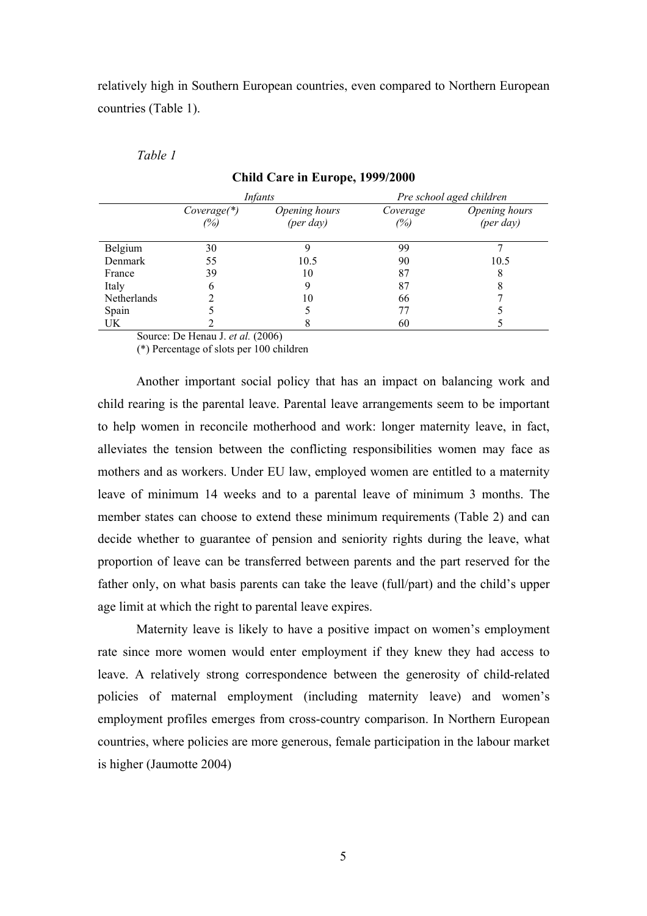relatively high in Southern European countries, even compared to Northern European countries (Table 1).

*Table 1* 

|                    |                      | <i>Infants</i>                      | Pre school aged children |                                     |  |
|--------------------|----------------------|-------------------------------------|--------------------------|-------------------------------------|--|
|                    | $Coverage(*)$<br>(%) | Opening hours<br>$(\text{per day})$ | Coverage<br>(%)          | Opening hours<br>$(\text{per day})$ |  |
| Belgium            | 30                   |                                     | 99                       |                                     |  |
| Denmark            | 55                   | 10.5                                | 90                       | 10.5                                |  |
| France             | 39                   | 10                                  | 87                       | 8                                   |  |
| Italy              | 6                    | 9                                   | 87                       |                                     |  |
| <b>Netherlands</b> |                      | 10                                  | 66                       |                                     |  |
| Spain              |                      |                                     | 77                       |                                     |  |
| UK                 |                      |                                     | 60                       |                                     |  |

### **Child Care in Europe, 1999/2000**

Source: De Henau J. *et al.* (2006)

(\*) Percentage of slots per 100 children

Another important social policy that has an impact on balancing work and child rearing is the parental leave. Parental leave arrangements seem to be important to help women in reconcile motherhood and work: longer maternity leave, in fact, alleviates the tension between the conflicting responsibilities women may face as mothers and as workers. Under EU law, employed women are entitled to a maternity leave of minimum 14 weeks and to a parental leave of minimum 3 months. The member states can choose to extend these minimum requirements (Table 2) and can decide whether to guarantee of pension and seniority rights during the leave, what proportion of leave can be transferred between parents and the part reserved for the father only, on what basis parents can take the leave (full/part) and the child's upper age limit at which the right to parental leave expires.

Maternity leave is likely to have a positive impact on women's employment rate since more women would enter employment if they knew they had access to leave. A relatively strong correspondence between the generosity of child-related policies of maternal employment (including maternity leave) and women's employment profiles emerges from cross-country comparison. In Northern European countries, where policies are more generous, female participation in the labour market is higher (Jaumotte 2004)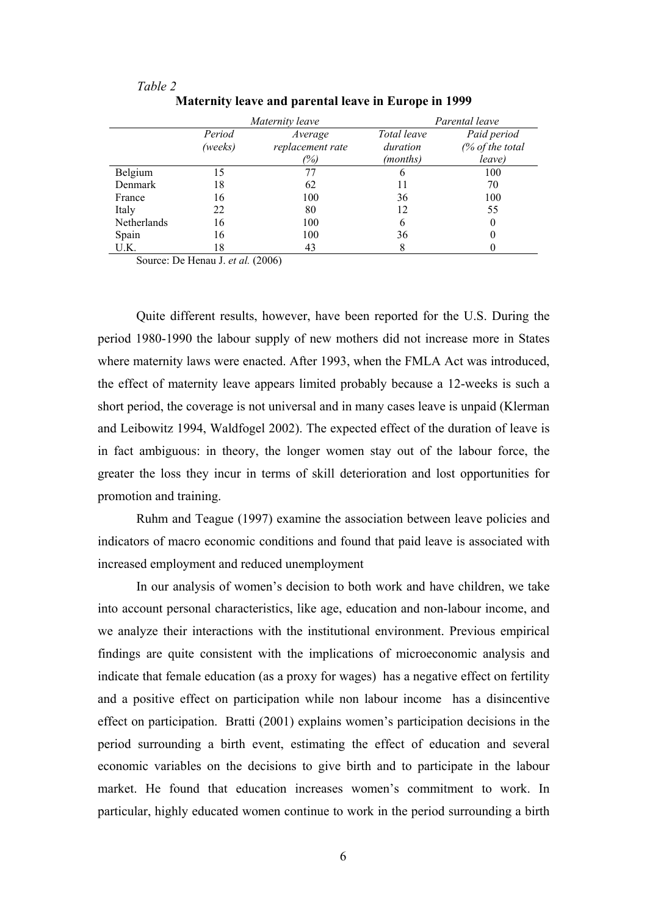|             |         | Maternity leave  | Parental leave |                 |  |
|-------------|---------|------------------|----------------|-----------------|--|
|             | Period  | Average          | Total leave    | Paid period     |  |
|             | (weeks) | replacement rate | duration       | (% of the total |  |
|             |         | (%)              | (months)       | leave)          |  |
| Belgium     | 15      |                  | o              | 100             |  |
| Denmark     | 18      | 62               |                | 70              |  |
| France      | 16      | 100              | 36             | 100             |  |
| Italy       | 22      | 80               | 12             | 55              |  |
| Netherlands | 16      | 100              | h              |                 |  |
| Spain       | 16      | 100              | 36             |                 |  |
| U.K.        | 18      | 43               |                |                 |  |

*Table 2*  **Maternity leave and parental leave in Europe in 1999** 

Source: De Henau J. *et al.* (2006)

Quite different results, however, have been reported for the U.S. During the period 1980-1990 the labour supply of new mothers did not increase more in States where maternity laws were enacted. After 1993, when the FMLA Act was introduced, the effect of maternity leave appears limited probably because a 12-weeks is such a short period, the coverage is not universal and in many cases leave is unpaid (Klerman and Leibowitz 1994, Waldfogel 2002). The expected effect of the duration of leave is in fact ambiguous: in theory, the longer women stay out of the labour force, the greater the loss they incur in terms of skill deterioration and lost opportunities for promotion and training.

Ruhm and Teague (1997) examine the association between leave policies and indicators of macro economic conditions and found that paid leave is associated with increased employment and reduced unemployment

In our analysis of women's decision to both work and have children, we take into account personal characteristics, like age, education and non-labour income, and we analyze their interactions with the institutional environment. Previous empirical findings are quite consistent with the implications of microeconomic analysis and indicate that female education (as a proxy for wages) has a negative effect on fertility and a positive effect on participation while non labour income has a disincentive effect on participation. Bratti (2001) explains women's participation decisions in the period surrounding a birth event, estimating the effect of education and several economic variables on the decisions to give birth and to participate in the labour market. He found that education increases women's commitment to work. In particular, highly educated women continue to work in the period surrounding a birth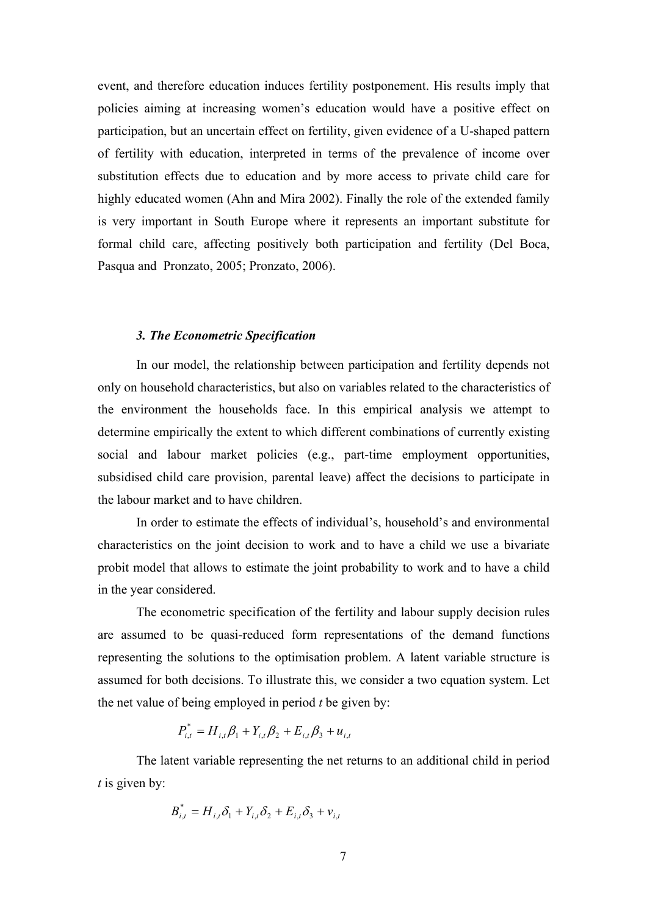event, and therefore education induces fertility postponement. His results imply that policies aiming at increasing women's education would have a positive effect on participation, but an uncertain effect on fertility, given evidence of a U-shaped pattern of fertility with education, interpreted in terms of the prevalence of income over substitution effects due to education and by more access to private child care for highly educated women (Ahn and Mira 2002). Finally the role of the extended family is very important in South Europe where it represents an important substitute for formal child care, affecting positively both participation and fertility (Del Boca, Pasqua and Pronzato, 2005; Pronzato, 2006).

#### *3. The Econometric Specification*

In our model, the relationship between participation and fertility depends not only on household characteristics, but also on variables related to the characteristics of the environment the households face. In this empirical analysis we attempt to determine empirically the extent to which different combinations of currently existing social and labour market policies (e.g., part-time employment opportunities, subsidised child care provision, parental leave) affect the decisions to participate in the labour market and to have children.

In order to estimate the effects of individual's, household's and environmental characteristics on the joint decision to work and to have a child we use a bivariate probit model that allows to estimate the joint probability to work and to have a child in the year considered.

The econometric specification of the fertility and labour supply decision rules are assumed to be quasi-reduced form representations of the demand functions representing the solutions to the optimisation problem. A latent variable structure is assumed for both decisions. To illustrate this, we consider a two equation system. Let the net value of being employed in period *t* be given by:

$$
P_{i,t}^* = H_{i,t} \beta_1 + Y_{i,t} \beta_2 + E_{i,t} \beta_3 + u_{i,t}
$$

The latent variable representing the net returns to an additional child in period *t* is given by:

$$
B_{i,t}^* = H_{i,t} \delta_1 + Y_{i,t} \delta_2 + E_{i,t} \delta_3 + v_{i,t}
$$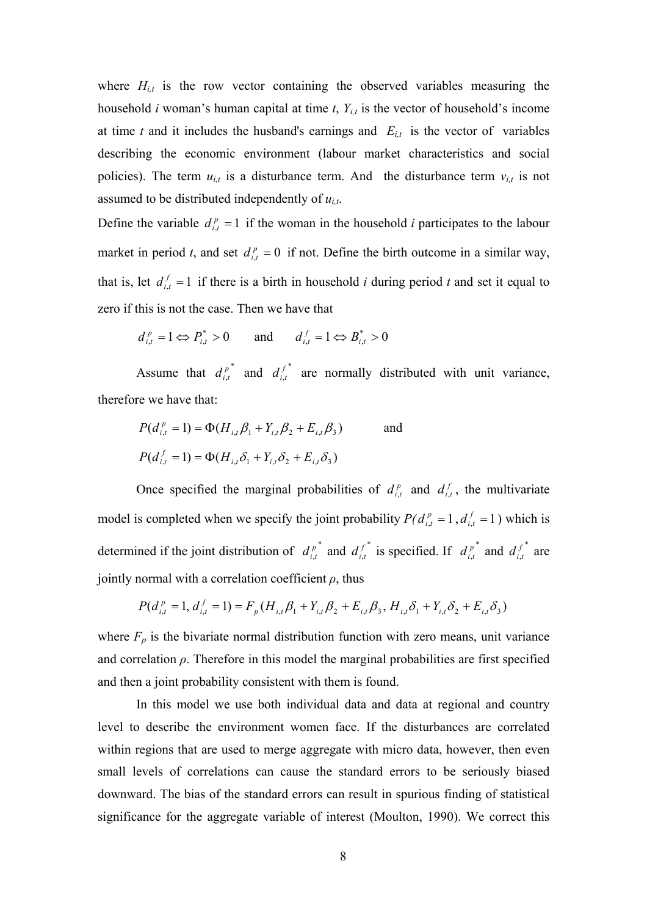where  $H_{i,t}$  is the row vector containing the observed variables measuring the household *i* woman's human capital at time *t*, *Yi,t* is the vector of household's income at time *t* and it includes the husband's earnings and  $E_{i,t}$  is the vector of variables describing the economic environment (labour market characteristics and social policies). The term  $u_{i,t}$  is a disturbance term. And the disturbance term  $v_{i,t}$  is not assumed to be distributed independently of *ui,t*.

Define the variable  $d_{i,t}^p = 1$  if the woman in the household *i* participates to the labour market in period *t*, and set  $d_{i,t}^p = 0$  if not. Define the birth outcome in a similar way, that is, let  $d_{i,t}^f = 1$  if there is a birth in household *i* during period *t* and set it equal to zero if this is not the case. Then we have that

$$
d_{i,t}^p = 1 \Leftrightarrow P_{i,t}^* > 0
$$
 and  $d_{i,t}^f = 1 \Leftrightarrow B_{i,t}^* > 0$ 

Assume that  $d_{i,t}^{p^*}$  $d_{i,t}^{p^*}$  and  $d_{i,t}^{f^*}$  $d_{i,t}^{f^*}$  are normally distributed with unit variance, therefore we have that:

$$
P(d_{i,t}^p = 1) = \Phi(H_{i,t}\beta_1 + Y_{i,t}\beta_2 + E_{i,t}\beta_3)
$$
 and  

$$
P(d_{i,t}^f = 1) = \Phi(H_{i,t}\delta_1 + Y_{i,t}\delta_2 + E_{i,t}\delta_3)
$$

Once specified the marginal probabilities of  $d_{i,t}^p$  and  $d_{i,t}^f$ , the multivariate model is completed when we specify the joint probability  $P(d_{i,t}^p = 1, d_{i,t}^f = 1)$  which is determined if the joint distribution of  $d_{i,t}^{p^*}$  $d_{i,t}^{p^*}$  and  $d_{i,t}^{f^*}$  $d_{i,t}^{f^*}$  is specified. If  $d_{i,t}^{p^*}$  $d_{i,t}^{p^*}$  and  $d_{i,t}^{f^*}$  $d_{i,t}^{f^*}$  are jointly normal with a correlation coefficient  $\rho$ , thus

$$
P(d_{i,t}^p = 1, d_{i,t}^f = 1) = F_p(H_{i,t}\beta_1 + Y_{i,t}\beta_2 + E_{i,t}\beta_3, H_{i,t}\delta_1 + Y_{i,t}\delta_2 + E_{i,t}\delta_3)
$$

where  $F_p$  is the bivariate normal distribution function with zero means, unit variance and correlation  $\rho$ . Therefore in this model the marginal probabilities are first specified and then a joint probability consistent with them is found.

In this model we use both individual data and data at regional and country level to describe the environment women face. If the disturbances are correlated within regions that are used to merge aggregate with micro data, however, then even small levels of correlations can cause the standard errors to be seriously biased downward. The bias of the standard errors can result in spurious finding of statistical significance for the aggregate variable of interest (Moulton, 1990). We correct this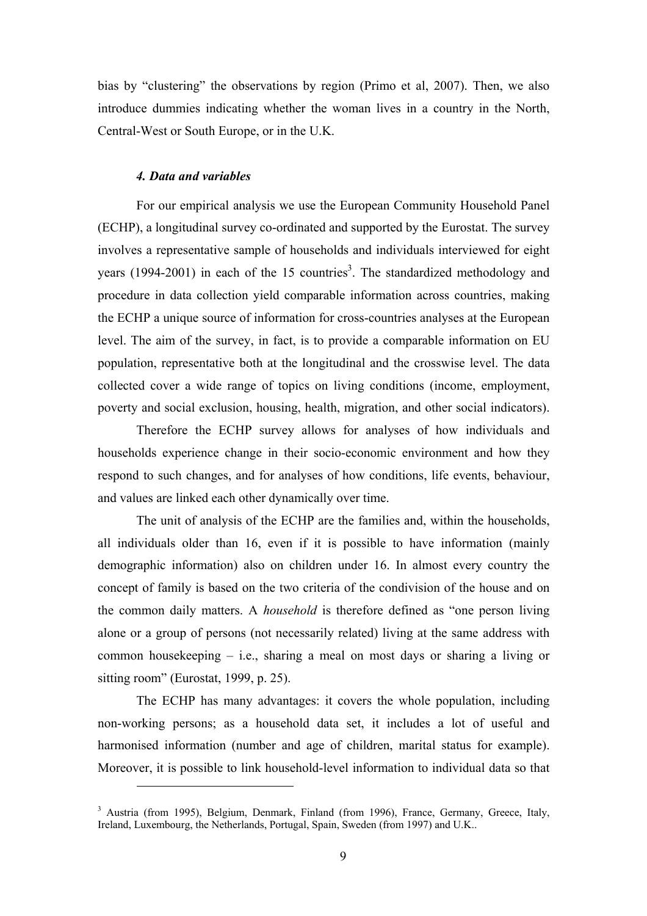bias by "clustering" the observations by region (Primo et al, 2007). Then, we also introduce dummies indicating whether the woman lives in a country in the North, Central-West or South Europe, or in the U.K.

### *4. Data and variables*

 $\overline{a}$ 

For our empirical analysis we use the European Community Household Panel (ECHP), a longitudinal survey co-ordinated and supported by the Eurostat. The survey involves a representative sample of households and individuals interviewed for eight years  $(1994-2001)$  in each of the 15 countries<sup>3</sup>. The standardized methodology and procedure in data collection yield comparable information across countries, making the ECHP a unique source of information for cross-countries analyses at the European level. The aim of the survey, in fact, is to provide a comparable information on EU population, representative both at the longitudinal and the crosswise level. The data collected cover a wide range of topics on living conditions (income, employment, poverty and social exclusion, housing, health, migration, and other social indicators).

Therefore the ECHP survey allows for analyses of how individuals and households experience change in their socio-economic environment and how they respond to such changes, and for analyses of how conditions, life events, behaviour, and values are linked each other dynamically over time.

The unit of analysis of the ECHP are the families and, within the households, all individuals older than 16, even if it is possible to have information (mainly demographic information) also on children under 16. In almost every country the concept of family is based on the two criteria of the condivision of the house and on the common daily matters. A *household* is therefore defined as "one person living alone or a group of persons (not necessarily related) living at the same address with common housekeeping – i.e., sharing a meal on most days or sharing a living or sitting room" (Eurostat, 1999, p. 25).

The ECHP has many advantages: it covers the whole population, including non-working persons; as a household data set, it includes a lot of useful and harmonised information (number and age of children, marital status for example). Moreover, it is possible to link household-level information to individual data so that

<sup>&</sup>lt;sup>3</sup> Austria (from 1995), Belgium, Denmark, Finland (from 1996), France, Germany, Greece, Italy, Ireland, Luxembourg, the Netherlands, Portugal, Spain, Sweden (from 1997) and U.K..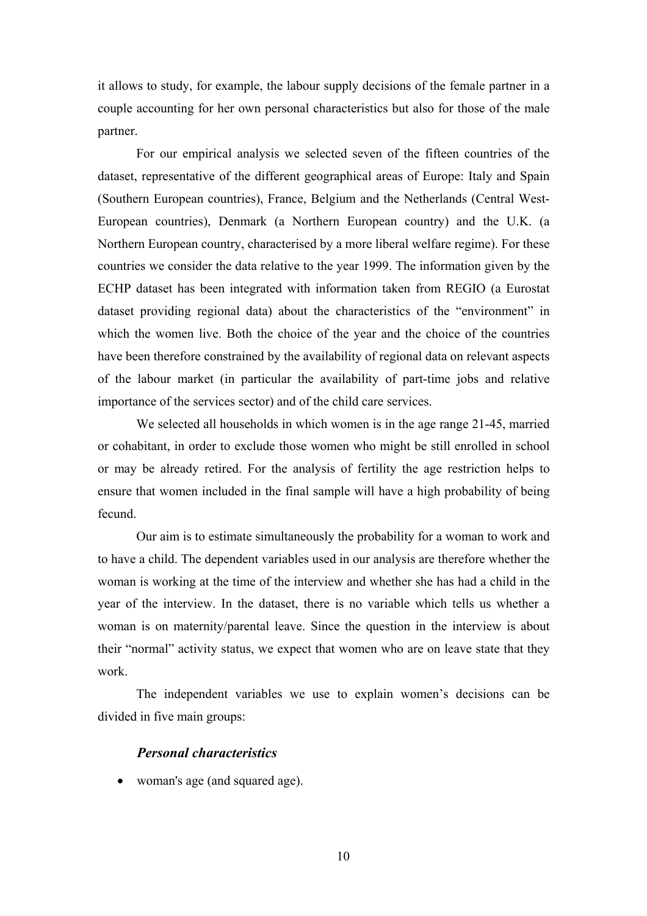it allows to study, for example, the labour supply decisions of the female partner in a couple accounting for her own personal characteristics but also for those of the male partner.

For our empirical analysis we selected seven of the fifteen countries of the dataset, representative of the different geographical areas of Europe: Italy and Spain (Southern European countries), France, Belgium and the Netherlands (Central West-European countries), Denmark (a Northern European country) and the U.K. (a Northern European country, characterised by a more liberal welfare regime). For these countries we consider the data relative to the year 1999. The information given by the ECHP dataset has been integrated with information taken from REGIO (a Eurostat dataset providing regional data) about the characteristics of the "environment" in which the women live. Both the choice of the year and the choice of the countries have been therefore constrained by the availability of regional data on relevant aspects of the labour market (in particular the availability of part-time jobs and relative importance of the services sector) and of the child care services.

We selected all households in which women is in the age range 21-45, married or cohabitant, in order to exclude those women who might be still enrolled in school or may be already retired. For the analysis of fertility the age restriction helps to ensure that women included in the final sample will have a high probability of being fecund.

Our aim is to estimate simultaneously the probability for a woman to work and to have a child. The dependent variables used in our analysis are therefore whether the woman is working at the time of the interview and whether she has had a child in the year of the interview. In the dataset, there is no variable which tells us whether a woman is on maternity/parental leave. Since the question in the interview is about their "normal" activity status, we expect that women who are on leave state that they work.

The independent variables we use to explain women's decisions can be divided in five main groups:

### *Personal characteristics*

• woman's age (and squared age).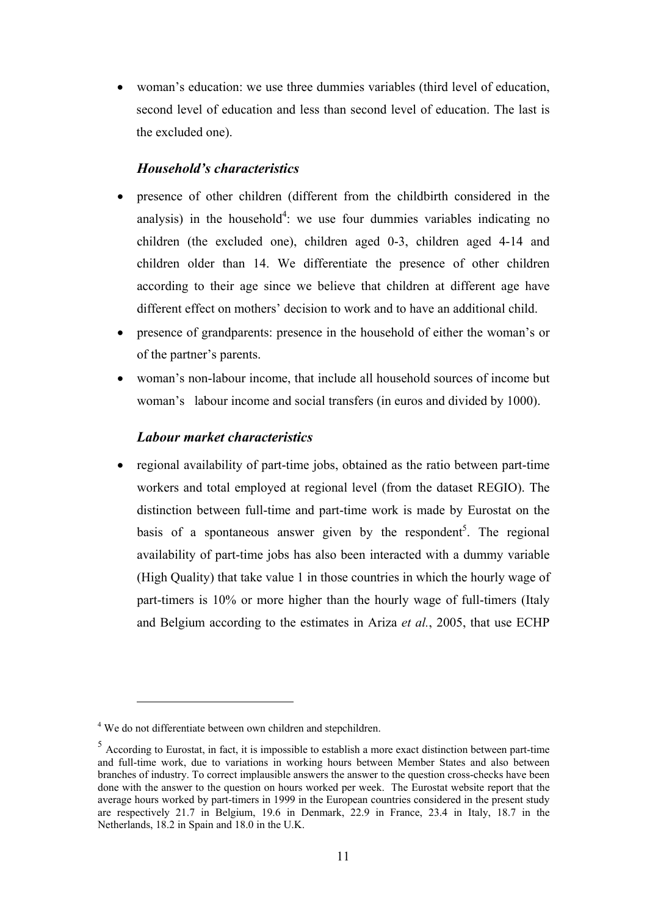• woman's education: we use three dummies variables (third level of education, second level of education and less than second level of education. The last is the excluded one).

## *Household's characteristics*

- presence of other children (different from the childbirth considered in the analysis) in the household<sup>4</sup>: we use four dummies variables indicating no children (the excluded one), children aged 0-3, children aged 4-14 and children older than 14. We differentiate the presence of other children according to their age since we believe that children at different age have different effect on mothers' decision to work and to have an additional child.
- presence of grandparents: presence in the household of either the woman's or of the partner's parents.
- woman's non-labour income, that include all household sources of income but woman's labour income and social transfers (in euros and divided by 1000).

### *Labour market characteristics*

• regional availability of part-time jobs, obtained as the ratio between part-time workers and total employed at regional level (from the dataset REGIO). The distinction between full-time and part-time work is made by Eurostat on the basis of a spontaneous answer given by the respondent<sup>5</sup>. The regional availability of part-time jobs has also been interacted with a dummy variable (High Quality) that take value 1 in those countries in which the hourly wage of part-timers is 10% or more higher than the hourly wage of full-timers (Italy and Belgium according to the estimates in Ariza *et al.*, 2005, that use ECHP

 $\overline{a}$ 

<sup>&</sup>lt;sup>4</sup> We do not differentiate between own children and stepchildren.

 $5$  According to Eurostat, in fact, it is impossible to establish a more exact distinction between part-time and full-time work, due to variations in working hours between Member States and also between branches of industry. To correct implausible answers the answer to the question cross-checks have been done with the answer to the question on hours worked per week. The Eurostat website report that the average hours worked by part-timers in 1999 in the European countries considered in the present study are respectively 21.7 in Belgium, 19.6 in Denmark, 22.9 in France, 23.4 in Italy, 18.7 in the Netherlands, 18.2 in Spain and 18.0 in the U.K.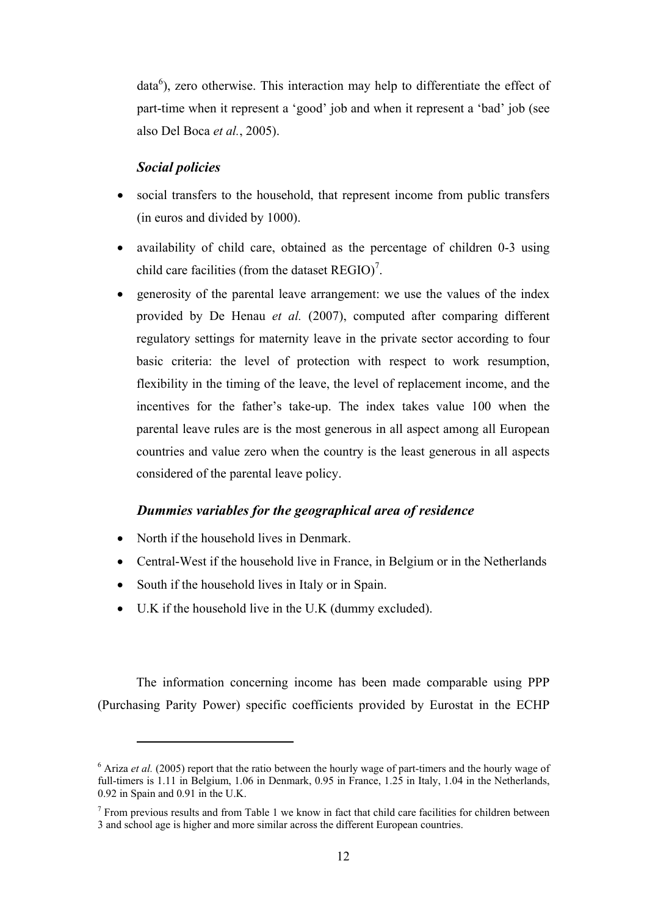$data<sup>6</sup>$ ), zero otherwise. This interaction may help to differentiate the effect of part-time when it represent a 'good' job and when it represent a 'bad' job (see also Del Boca *et al.*, 2005).

### *Social policies*

- social transfers to the household, that represent income from public transfers (in euros and divided by 1000).
- availability of child care, obtained as the percentage of children 0-3 using child care facilities (from the dataset  $REGIO$ <sup>7</sup>.
- generosity of the parental leave arrangement: we use the values of the index provided by De Henau *et al.* (2007), computed after comparing different regulatory settings for maternity leave in the private sector according to four basic criteria: the level of protection with respect to work resumption, flexibility in the timing of the leave, the level of replacement income, and the incentives for the father's take-up. The index takes value 100 when the parental leave rules are is the most generous in all aspect among all European countries and value zero when the country is the least generous in all aspects considered of the parental leave policy.

### *Dummies variables for the geographical area of residence*

• North if the household lives in Denmark.

 $\overline{a}$ 

- Central-West if the household live in France, in Belgium or in the Netherlands
- South if the household lives in Italy or in Spain.
- U.K if the household live in the U.K (dummy excluded).

The information concerning income has been made comparable using PPP (Purchasing Parity Power) specific coefficients provided by Eurostat in the ECHP

<sup>&</sup>lt;sup>6</sup> Ariza *et al.* (2005) report that the ratio between the hourly wage of part-timers and the hourly wage of full-timers is 1.11 in Belgium, 1.06 in Denmark, 0.95 in France, 1.25 in Italy, 1.04 in the Netherlands, 0.92 in Spain and 0.91 in the U.K.

 $<sup>7</sup>$  From previous results and from Table 1 we know in fact that child care facilities for children between</sup> 3 and school age is higher and more similar across the different European countries.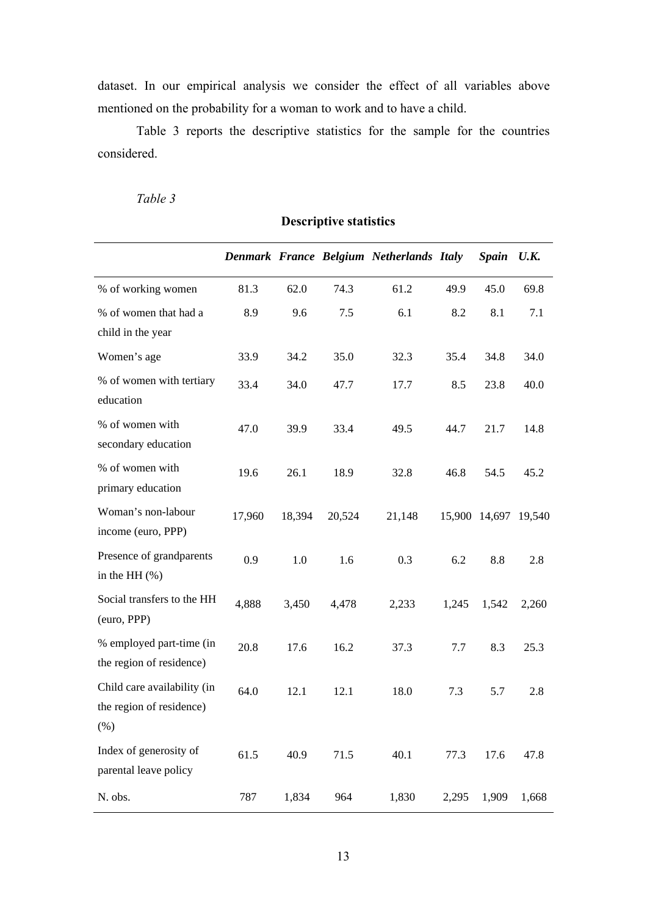dataset. In our empirical analysis we consider the effect of all variables above mentioned on the probability for a woman to work and to have a child.

Table 3 reports the descriptive statistics for the sample for the countries considered.

| apie |
|------|
|      |

|                                                                 |        |        |        | Denmark France Belgium Netherlands Italy |       | <b>Spain</b> | U.K.                 |
|-----------------------------------------------------------------|--------|--------|--------|------------------------------------------|-------|--------------|----------------------|
| % of working women                                              | 81.3   | 62.0   | 74.3   | 61.2                                     | 49.9  | 45.0         | 69.8                 |
| % of women that had a<br>child in the year                      | 8.9    | 9.6    | $7.5$  | 6.1                                      | 8.2   | 8.1          | 7.1                  |
| Women's age                                                     | 33.9   | 34.2   | 35.0   | 32.3                                     | 35.4  | 34.8         | 34.0                 |
| % of women with tertiary<br>education                           | 33.4   | 34.0   | 47.7   | 17.7                                     | 8.5   | 23.8         | 40.0                 |
| % of women with<br>secondary education                          | 47.0   | 39.9   | 33.4   | 49.5                                     | 44.7  | 21.7         | 14.8                 |
| % of women with<br>primary education                            | 19.6   | 26.1   | 18.9   | 32.8                                     | 46.8  | 54.5         | 45.2                 |
| Woman's non-labour<br>income (euro, PPP)                        | 17,960 | 18,394 | 20,524 | 21,148                                   |       |              | 15,900 14,697 19,540 |
| Presence of grandparents<br>in the HH $(\%)$                    | 0.9    | 1.0    | 1.6    | 0.3                                      | 6.2   | 8.8          | 2.8                  |
| Social transfers to the HH<br>(euro, PPP)                       | 4,888  | 3,450  | 4,478  | 2,233                                    | 1,245 | 1,542        | 2,260                |
| % employed part-time (in<br>the region of residence)            | 20.8   | 17.6   | 16.2   | 37.3                                     | 7.7   | 8.3          | 25.3                 |
| Child care availability (in<br>the region of residence)<br>(% ) | 64.0   | 12.1   | 12.1   | 18.0                                     | 7.3   | 5.7          | 2.8                  |
| Index of generosity of<br>parental leave policy                 | 61.5   | 40.9   | 71.5   | 40.1                                     | 77.3  | 17.6         | 47.8                 |
| N. obs.                                                         | 787    | 1,834  | 964    | 1,830                                    | 2,295 | 1,909        | 1,668                |

# **Descriptive statistics**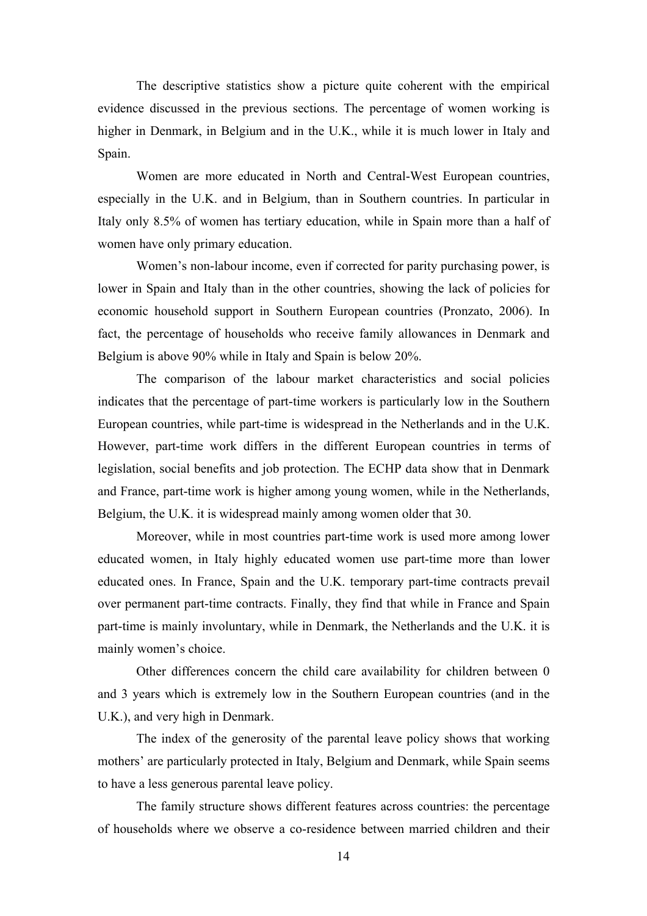The descriptive statistics show a picture quite coherent with the empirical evidence discussed in the previous sections. The percentage of women working is higher in Denmark, in Belgium and in the U.K., while it is much lower in Italy and Spain.

Women are more educated in North and Central-West European countries, especially in the U.K. and in Belgium, than in Southern countries. In particular in Italy only 8.5% of women has tertiary education, while in Spain more than a half of women have only primary education.

Women's non-labour income, even if corrected for parity purchasing power, is lower in Spain and Italy than in the other countries, showing the lack of policies for economic household support in Southern European countries (Pronzato, 2006). In fact, the percentage of households who receive family allowances in Denmark and Belgium is above 90% while in Italy and Spain is below 20%.

The comparison of the labour market characteristics and social policies indicates that the percentage of part-time workers is particularly low in the Southern European countries, while part-time is widespread in the Netherlands and in the U.K. However, part-time work differs in the different European countries in terms of legislation, social benefits and job protection. The ECHP data show that in Denmark and France, part-time work is higher among young women, while in the Netherlands, Belgium, the U.K. it is widespread mainly among women older that 30.

Moreover, while in most countries part-time work is used more among lower educated women, in Italy highly educated women use part-time more than lower educated ones. In France, Spain and the U.K. temporary part-time contracts prevail over permanent part-time contracts. Finally, they find that while in France and Spain part-time is mainly involuntary, while in Denmark, the Netherlands and the U.K. it is mainly women's choice.

Other differences concern the child care availability for children between 0 and 3 years which is extremely low in the Southern European countries (and in the U.K.), and very high in Denmark.

The index of the generosity of the parental leave policy shows that working mothers' are particularly protected in Italy, Belgium and Denmark, while Spain seems to have a less generous parental leave policy.

The family structure shows different features across countries: the percentage of households where we observe a co-residence between married children and their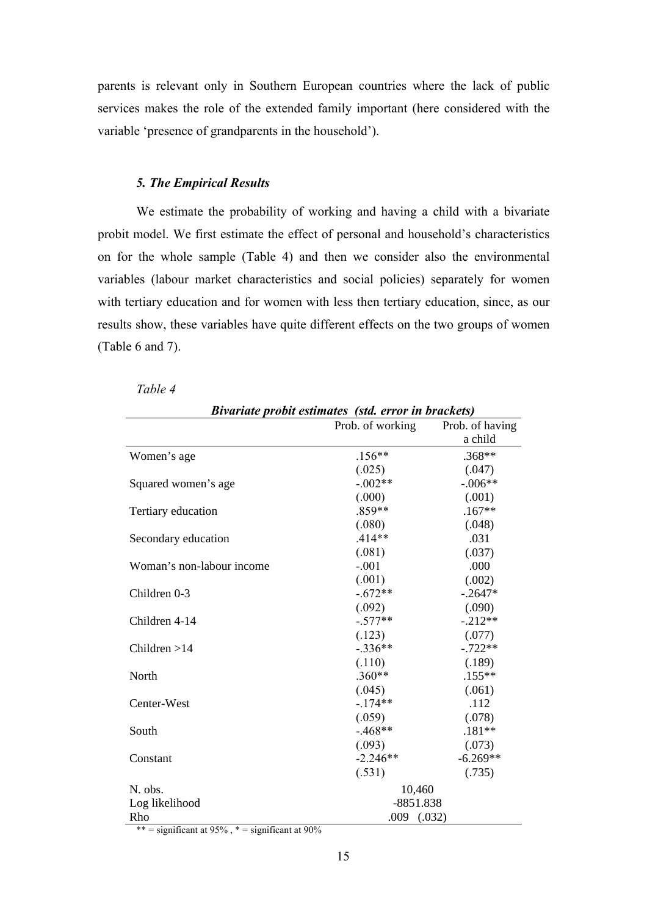parents is relevant only in Southern European countries where the lack of public services makes the role of the extended family important (here considered with the variable 'presence of grandparents in the household').

#### *5. The Empirical Results*

We estimate the probability of working and having a child with a bivariate probit model. We first estimate the effect of personal and household's characteristics on for the whole sample (Table 4) and then we consider also the environmental variables (labour market characteristics and social policies) separately for women with tertiary education and for women with less then tertiary education, since, as our results show, these variables have quite different effects on the two groups of women (Table 6 and 7).

|                           |                  | Bivariate probit estimates (std. error in brackets) |  |  |
|---------------------------|------------------|-----------------------------------------------------|--|--|
|                           | Prob. of working | Prob. of having                                     |  |  |
|                           |                  | a child                                             |  |  |
| Women's age               | $.156**$         | .368**                                              |  |  |
|                           | (.025)           | (.047)                                              |  |  |
| Squared women's age       | $-.002**$        | $-.006**$                                           |  |  |
|                           | (.000)           | (.001)                                              |  |  |
| Tertiary education        | .859**           | $.167**$                                            |  |  |
|                           | (.080)           | (.048)                                              |  |  |
| Secondary education       | $.414**$         | .031                                                |  |  |
|                           | (.081)           | (.037)                                              |  |  |
| Woman's non-labour income | $-.001$          | .000                                                |  |  |
|                           | (.001)           | (.002)                                              |  |  |
| Children 0-3              | $-.672**$        | $-.2647*$                                           |  |  |
|                           | (.092)           | (.090)                                              |  |  |
| Children 4-14             | $-.577**$        | $-.212**$                                           |  |  |
|                           | (.123)           | (.077)                                              |  |  |
| Children $>14$            | $-.336**$        | $-.722**$                                           |  |  |
|                           | (.110)           | (.189)                                              |  |  |
| North                     | $.360**$         | $.155***$                                           |  |  |
|                           | (.045)           | (.061)                                              |  |  |
| Center-West               | $-174**$         | .112                                                |  |  |
|                           | (.059)           | (.078)                                              |  |  |
| South                     | $-468**$         | $.181**$                                            |  |  |
|                           | (.093)           | (.073)                                              |  |  |
| Constant                  | $-2.246**$       | $-6.269**$                                          |  |  |
|                           | (.531)           | (.735)                                              |  |  |
| N. obs.                   | 10,460           |                                                     |  |  |
| Log likelihood            | $-8851.838$      |                                                     |  |  |
| Rho                       | $.009$ $(.032)$  |                                                     |  |  |

*Table 4* 

\*\* = significant at  $95\%$ , \* = significant at  $90\%$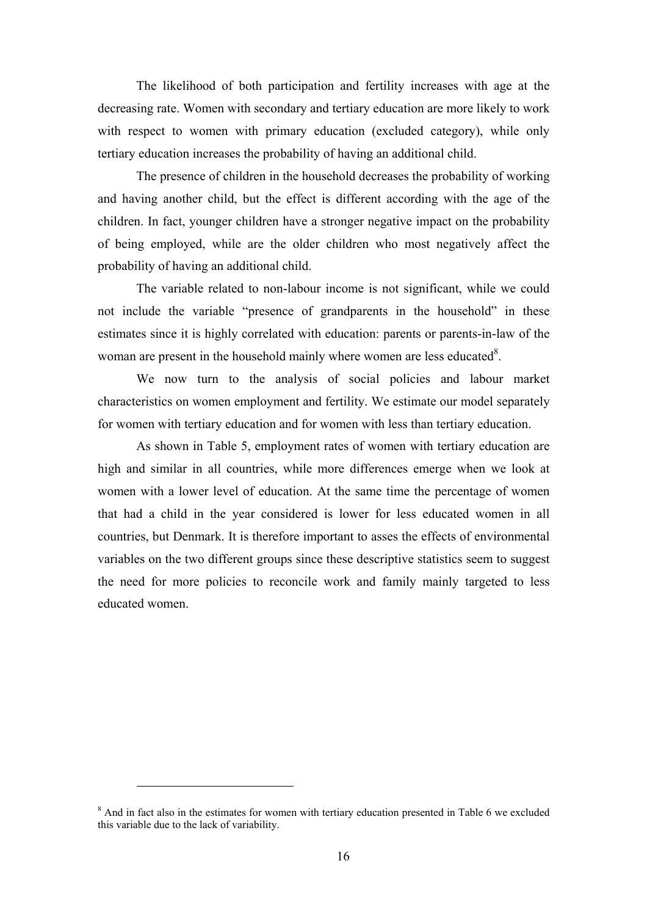The likelihood of both participation and fertility increases with age at the decreasing rate. Women with secondary and tertiary education are more likely to work with respect to women with primary education (excluded category), while only tertiary education increases the probability of having an additional child.

The presence of children in the household decreases the probability of working and having another child, but the effect is different according with the age of the children. In fact, younger children have a stronger negative impact on the probability of being employed, while are the older children who most negatively affect the probability of having an additional child.

The variable related to non-labour income is not significant, while we could not include the variable "presence of grandparents in the household" in these estimates since it is highly correlated with education: parents or parents-in-law of the woman are present in the household mainly where women are less educated<sup>8</sup>.

We now turn to the analysis of social policies and labour market characteristics on women employment and fertility. We estimate our model separately for women with tertiary education and for women with less than tertiary education.

As shown in Table 5, employment rates of women with tertiary education are high and similar in all countries, while more differences emerge when we look at women with a lower level of education. At the same time the percentage of women that had a child in the year considered is lower for less educated women in all countries, but Denmark. It is therefore important to asses the effects of environmental variables on the two different groups since these descriptive statistics seem to suggest the need for more policies to reconcile work and family mainly targeted to less educated women.

 $\overline{a}$ 

<sup>&</sup>lt;sup>8</sup> And in fact also in the estimates for women with tertiary education presented in Table 6 we excluded this variable due to the lack of variability.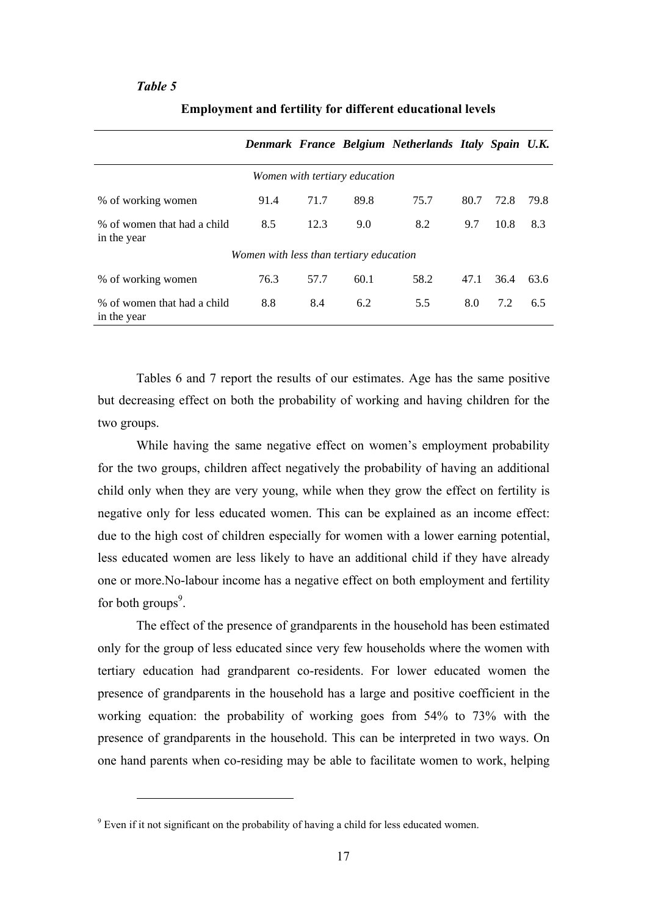#### *Table 5*

|                                            |                                         |      |                               | Denmark France Belgium Netherlands Italy Spain U.K. |      |      |      |
|--------------------------------------------|-----------------------------------------|------|-------------------------------|-----------------------------------------------------|------|------|------|
|                                            |                                         |      | Women with tertiary education |                                                     |      |      |      |
| % of working women                         | 91.4                                    | 71.7 | 89.8                          | 75.7                                                | 80.7 | 72.8 | 79.8 |
| % of women that had a child<br>in the year | 8.5                                     | 12.3 | 9.0                           | 8.2                                                 | 9.7  | 10.8 | 8.3  |
|                                            | Women with less than tertiary education |      |                               |                                                     |      |      |      |
| % of working women                         | 76.3                                    | 57.7 | 60.1                          | 58.2                                                | 47.1 | 36.4 | 63.6 |
| % of women that had a child<br>in the year | 8.8                                     | 8.4  | 6.2                           | 5.5                                                 | 8.0  | 7.2  | 6.5  |

#### **Employment and fertility for different educational levels**

Tables 6 and 7 report the results of our estimates. Age has the same positive but decreasing effect on both the probability of working and having children for the two groups.

While having the same negative effect on women's employment probability for the two groups, children affect negatively the probability of having an additional child only when they are very young, while when they grow the effect on fertility is negative only for less educated women. This can be explained as an income effect: due to the high cost of children especially for women with a lower earning potential, less educated women are less likely to have an additional child if they have already one or more.No-labour income has a negative effect on both employment and fertility for both groups $9$ .

The effect of the presence of grandparents in the household has been estimated only for the group of less educated since very few households where the women with tertiary education had grandparent co-residents. For lower educated women the presence of grandparents in the household has a large and positive coefficient in the working equation: the probability of working goes from 54% to 73% with the presence of grandparents in the household. This can be interpreted in two ways. On one hand parents when co-residing may be able to facilitate women to work, helping

 $\overline{a}$ 

 $9$  Even if it not significant on the probability of having a child for less educated women.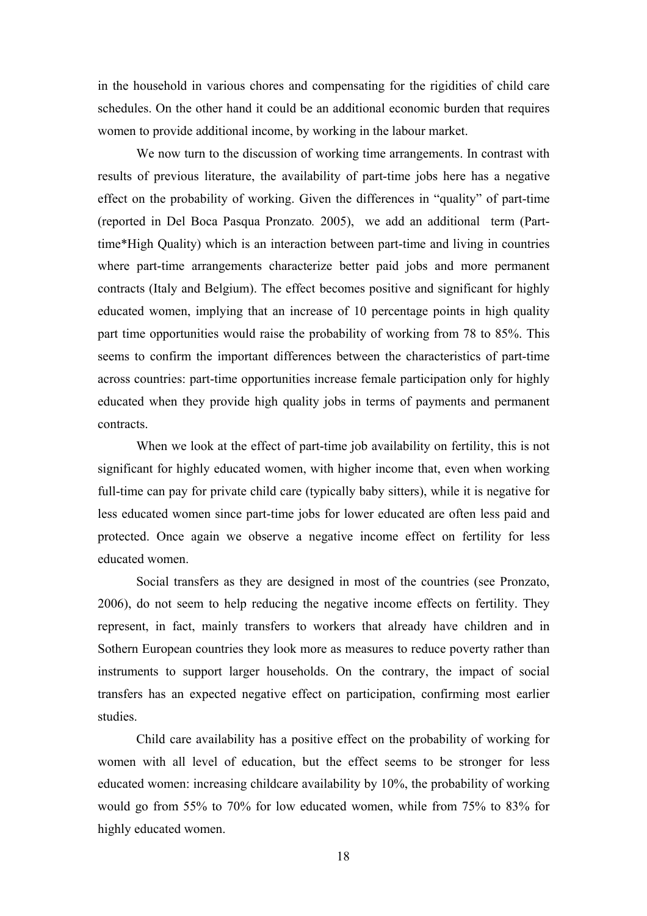in the household in various chores and compensating for the rigidities of child care schedules. On the other hand it could be an additional economic burden that requires women to provide additional income, by working in the labour market.

We now turn to the discussion of working time arrangements. In contrast with results of previous literature, the availability of part-time jobs here has a negative effect on the probability of working. Given the differences in "quality" of part-time (reported in Del Boca Pasqua Pronzato*.* 2005), we add an additional term (Parttime\*High Quality) which is an interaction between part-time and living in countries where part-time arrangements characterize better paid jobs and more permanent contracts (Italy and Belgium). The effect becomes positive and significant for highly educated women, implying that an increase of 10 percentage points in high quality part time opportunities would raise the probability of working from 78 to 85%. This seems to confirm the important differences between the characteristics of part-time across countries: part-time opportunities increase female participation only for highly educated when they provide high quality jobs in terms of payments and permanent contracts.

When we look at the effect of part-time job availability on fertility, this is not significant for highly educated women, with higher income that, even when working full-time can pay for private child care (typically baby sitters), while it is negative for less educated women since part-time jobs for lower educated are often less paid and protected. Once again we observe a negative income effect on fertility for less educated women.

Social transfers as they are designed in most of the countries (see Pronzato, 2006), do not seem to help reducing the negative income effects on fertility. They represent, in fact, mainly transfers to workers that already have children and in Sothern European countries they look more as measures to reduce poverty rather than instruments to support larger households. On the contrary, the impact of social transfers has an expected negative effect on participation, confirming most earlier studies.

Child care availability has a positive effect on the probability of working for women with all level of education, but the effect seems to be stronger for less educated women: increasing childcare availability by 10%, the probability of working would go from 55% to 70% for low educated women, while from 75% to 83% for highly educated women.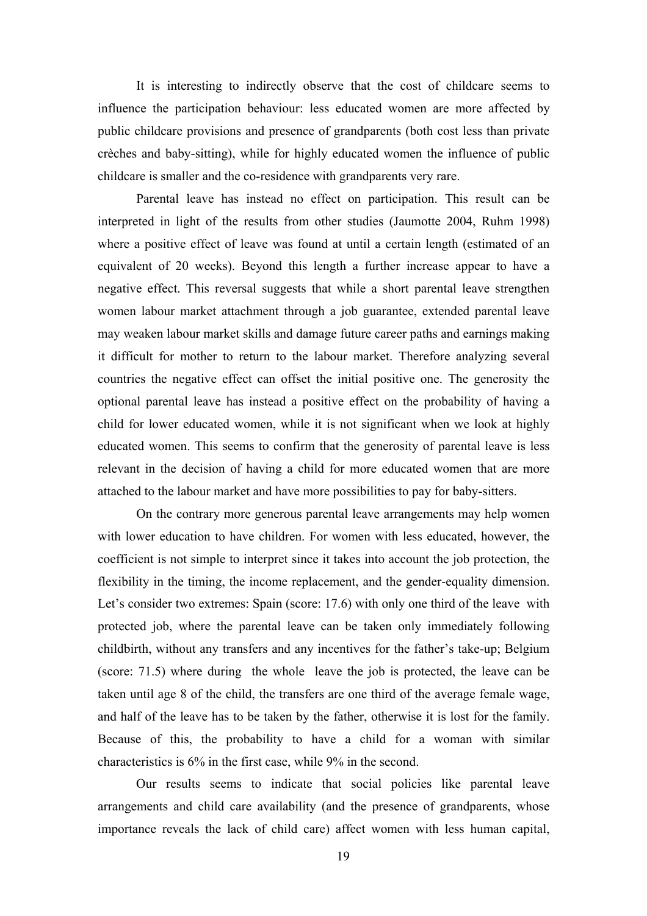It is interesting to indirectly observe that the cost of childcare seems to influence the participation behaviour: less educated women are more affected by public childcare provisions and presence of grandparents (both cost less than private crèches and baby-sitting), while for highly educated women the influence of public childcare is smaller and the co-residence with grandparents very rare.

Parental leave has instead no effect on participation. This result can be interpreted in light of the results from other studies (Jaumotte 2004, Ruhm 1998) where a positive effect of leave was found at until a certain length (estimated of an equivalent of 20 weeks). Beyond this length a further increase appear to have a negative effect. This reversal suggests that while a short parental leave strengthen women labour market attachment through a job guarantee, extended parental leave may weaken labour market skills and damage future career paths and earnings making it difficult for mother to return to the labour market. Therefore analyzing several countries the negative effect can offset the initial positive one. The generosity the optional parental leave has instead a positive effect on the probability of having a child for lower educated women, while it is not significant when we look at highly educated women. This seems to confirm that the generosity of parental leave is less relevant in the decision of having a child for more educated women that are more attached to the labour market and have more possibilities to pay for baby-sitters.

On the contrary more generous parental leave arrangements may help women with lower education to have children. For women with less educated, however, the coefficient is not simple to interpret since it takes into account the job protection, the flexibility in the timing, the income replacement, and the gender-equality dimension. Let's consider two extremes: Spain (score: 17.6) with only one third of the leave with protected job, where the parental leave can be taken only immediately following childbirth, without any transfers and any incentives for the father's take-up; Belgium (score: 71.5) where during the whole leave the job is protected, the leave can be taken until age 8 of the child, the transfers are one third of the average female wage, and half of the leave has to be taken by the father, otherwise it is lost for the family. Because of this, the probability to have a child for a woman with similar characteristics is 6% in the first case, while 9% in the second.

Our results seems to indicate that social policies like parental leave arrangements and child care availability (and the presence of grandparents, whose importance reveals the lack of child care) affect women with less human capital,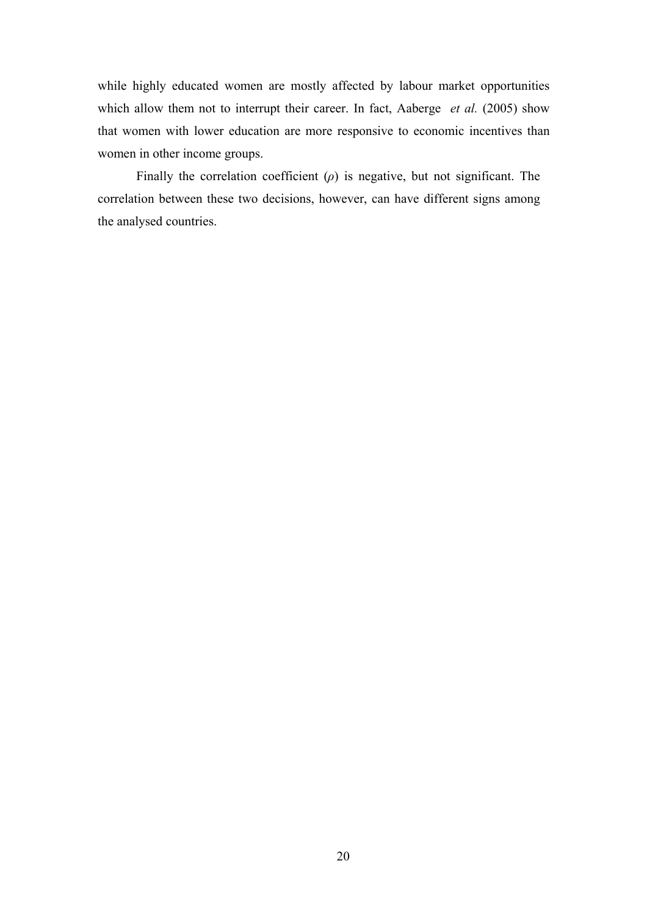while highly educated women are mostly affected by labour market opportunities which allow them not to interrupt their career. In fact, Aaberge *et al.* (2005) show that women with lower education are more responsive to economic incentives than women in other income groups.

Finally the correlation coefficient  $(\rho)$  is negative, but not significant. The correlation between these two decisions, however, can have different signs among the analysed countries.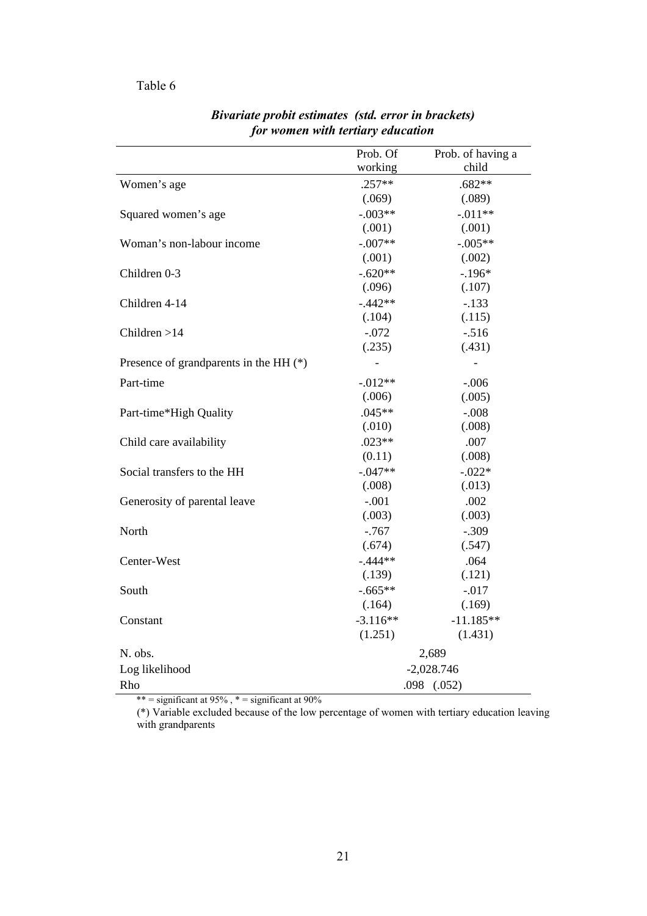### Table 6

|                                        | Prob. Of   | Prob. of having a |
|----------------------------------------|------------|-------------------|
|                                        | working    | child             |
| Women's age                            | $.257**$   | $.682**$          |
|                                        | (.069)     | (.089)            |
| Squared women's age                    | $-.003**$  | $-.011**$         |
|                                        | (.001)     | (.001)            |
| Woman's non-labour income              | $-.007**$  | $-.005**$         |
|                                        | (.001)     | (.002)            |
| Children 0-3                           | $-.620**$  | $-.196*$          |
|                                        | (.096)     | (.107)            |
| Children 4-14                          | $-.442**$  | $-.133$           |
|                                        | (.104)     | (.115)            |
| Children $>14$                         | $-.072$    | $-.516$           |
|                                        | (.235)     | (.431)            |
| Presence of grandparents in the HH (*) |            |                   |
| Part-time                              | $-0.012**$ | $-.006$           |
|                                        | (.006)     | (.005)            |
| Part-time*High Quality                 | $.045**$   | $-.008$           |
|                                        | (.010)     | (.008)            |
| Child care availability                | $.023**$   | .007              |
|                                        | (0.11)     | (.008)            |
| Social transfers to the HH             | $-.047**$  | $-.022*$          |
|                                        | (.008)     | (.013)            |
| Generosity of parental leave           | $-.001$    | .002              |
|                                        | (.003)     | (.003)            |
| North                                  | $-0.767$   | $-.309$           |
|                                        | (.674)     | (.547)            |
| Center-West                            | $-.444**$  | .064              |
|                                        | (.139)     | (.121)            |
| South                                  | $-.665**$  | $-.017$           |
|                                        | (.164)     | (.169)            |
| Constant                               | $-3.116**$ | $-11.185**$       |
|                                        | (1.251)    | (1.431)           |
| N. obs.                                |            | 2,689             |
| Log likelihood                         |            | $-2,028.746$      |
| Rho                                    |            | $.098$ $(.052)$   |

*Bivariate probit estimates (std. error in brackets) for women with tertiary education* 

\*\* = significant at  $95\%$ , \* = significant at  $90\%$ 

(\*) Variable excluded because of the low percentage of women with tertiary education leaving with grandparents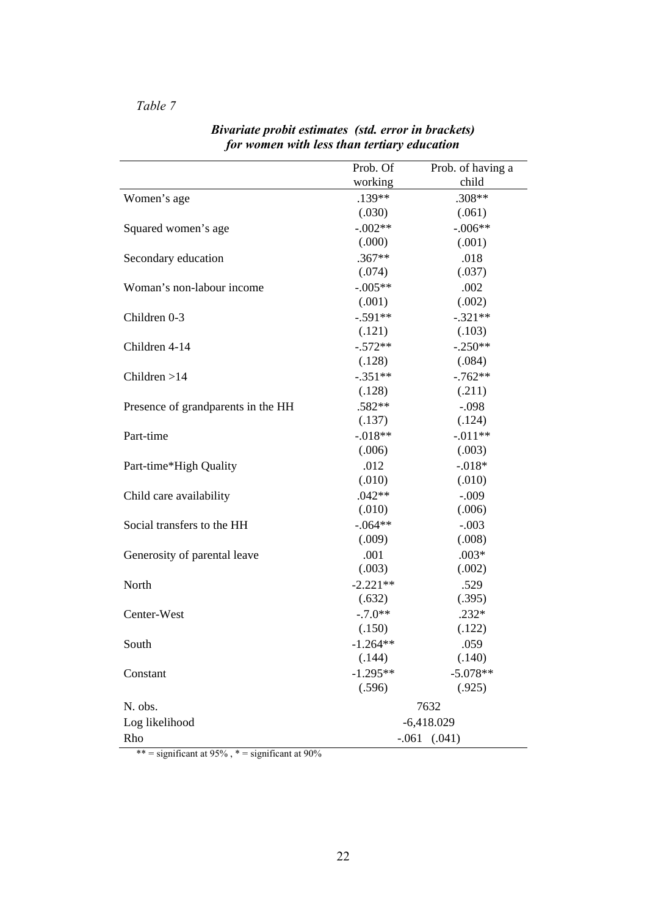# *Table 7*

|                                    | Prob. Of          | Prob. of having a |  |  |
|------------------------------------|-------------------|-------------------|--|--|
|                                    | working           | child             |  |  |
| Women's age                        | .139**            | .308**            |  |  |
|                                    | (.030)            | (.061)            |  |  |
| Squared women's age                | $-.002**$         | $-.006**$         |  |  |
|                                    | (.000)            | (.001)            |  |  |
| Secondary education                | $.367**$          | .018              |  |  |
|                                    | (.074)            | (.037)            |  |  |
| Woman's non-labour income          | $-.005**$         | .002              |  |  |
|                                    | (.001)            | (.002)            |  |  |
| Children 0-3                       | $-.591**$         | $-.321**$         |  |  |
|                                    | (.121)            | (.103)            |  |  |
| Children 4-14                      | $-.572**$         | $-.250**$         |  |  |
|                                    | (.128)            | (.084)            |  |  |
| Children $>14$                     | $-.351**$         | $-.762**$         |  |  |
|                                    | (.128)            | (.211)            |  |  |
| Presence of grandparents in the HH | .582**            | $-.098$           |  |  |
|                                    | (.137)            | (.124)            |  |  |
| Part-time                          | $-.018**$         | $-.011**$         |  |  |
|                                    | (.006)            | (.003)            |  |  |
| Part-time*High Quality             | .012              | $-.018*$          |  |  |
|                                    | (.010)            | (.010)            |  |  |
| Child care availability            | $.042**$          | $-.009$           |  |  |
|                                    | (.010)            | (.006)            |  |  |
| Social transfers to the HH         | $-.064**$         | $-.003$           |  |  |
|                                    | (.009)            | (.008)            |  |  |
| Generosity of parental leave       | .001              | $.003*$           |  |  |
|                                    | (.003)            | (.002)            |  |  |
| North                              | $-2.221**$        | .529              |  |  |
|                                    | (.632)            | (.395)            |  |  |
| Center-West                        | $-.7.0**$         | $.232*$           |  |  |
|                                    | (.150)            | (.122)            |  |  |
| South                              | $-1.264**$        | .059              |  |  |
|                                    | (.144)            | (.140)            |  |  |
| Constant                           | $-1.295**$        | $-5.078**$        |  |  |
|                                    | (.596)            | (.925)            |  |  |
| N. obs.                            |                   | 7632              |  |  |
| Log likelihood                     | $-6,418.029$      |                   |  |  |
| Rho                                | (.041)<br>$-.061$ |                   |  |  |

*Bivariate probit estimates (std. error in brackets) for women with less than tertiary education* 

\*\* = significant at  $95\%$ , \* = significant at  $90\%$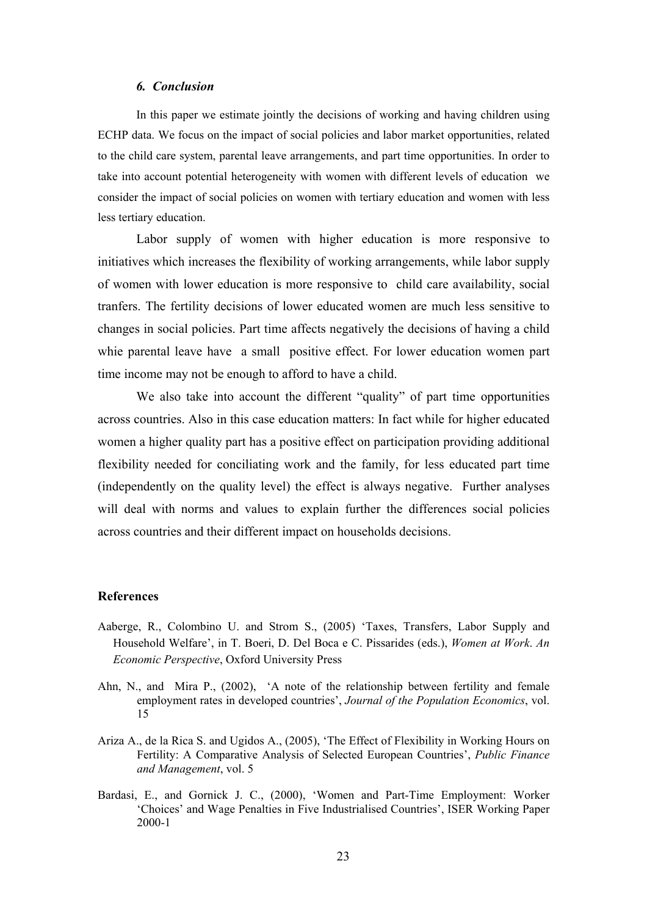#### *6. Conclusion*

In this paper we estimate jointly the decisions of working and having children using ECHP data. We focus on the impact of social policies and labor market opportunities, related to the child care system, parental leave arrangements, and part time opportunities. In order to take into account potential heterogeneity with women with different levels of education we consider the impact of social policies on women with tertiary education and women with less less tertiary education.

Labor supply of women with higher education is more responsive to initiatives which increases the flexibility of working arrangements, while labor supply of women with lower education is more responsive to child care availability, social tranfers. The fertility decisions of lower educated women are much less sensitive to changes in social policies. Part time affects negatively the decisions of having a child whie parental leave have a small positive effect. For lower education women part time income may not be enough to afford to have a child.

We also take into account the different "quality" of part time opportunities across countries. Also in this case education matters: In fact while for higher educated women a higher quality part has a positive effect on participation providing additional flexibility needed for conciliating work and the family, for less educated part time (independently on the quality level) the effect is always negative. Further analyses will deal with norms and values to explain further the differences social policies across countries and their different impact on households decisions.

#### **References**

- Aaberge, R., Colombino U. and Strom S., (2005) 'Taxes, Transfers, Labor Supply and Household Welfare', in T. Boeri, D. Del Boca e C. Pissarides (eds.), *Women at Work*. *An Economic Perspective*, Oxford University Press
- Ahn, N., and Mira P., (2002), 'A note of the relationship between fertility and female employment rates in developed countries', *Journal of the Population Economics*, vol. 15
- Ariza A., de la Rica S. and Ugidos A., (2005), 'The Effect of Flexibility in Working Hours on Fertility: A Comparative Analysis of Selected European Countries', *Public Finance and Management*, vol. 5
- Bardasi, E., and Gornick J. C., (2000), 'Women and Part-Time Employment: Worker 'Choices' and Wage Penalties in Five Industrialised Countries', ISER Working Paper 2000-1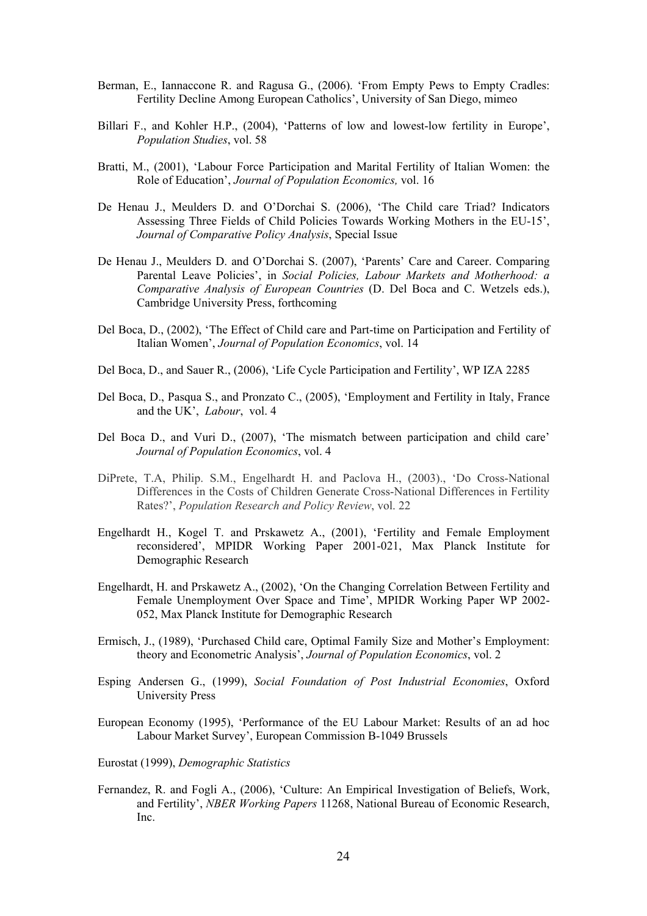- Berman, E., Iannaccone R. and Ragusa G., (2006). 'From Empty Pews to Empty Cradles: Fertility Decline Among European Catholics', University of San Diego, mimeo
- Billari F., and Kohler H.P., (2004), 'Patterns of low and lowest-low fertility in Europe', *Population Studies*, vol. 58
- Bratti, M., (2001), 'Labour Force Participation and Marital Fertility of Italian Women: the Role of Education', *Journal of Population Economics,* vol. 16
- De Henau J., Meulders D. and O'Dorchai S. (2006), 'The Child care Triad? Indicators Assessing Three Fields of Child Policies Towards Working Mothers in the EU-15', *Journal of Comparative Policy Analysis*, Special Issue
- De Henau J., Meulders D. and O'Dorchai S. (2007), 'Parents' Care and Career. Comparing Parental Leave Policies', in *Social Policies, Labour Markets and Motherhood: a Comparative Analysis of European Countries* (D. Del Boca and C. Wetzels eds.), Cambridge University Press, forthcoming
- Del Boca, D., (2002), 'The Effect of Child care and Part-time on Participation and Fertility of Italian Women', *Journal of Population Economics*, vol. 14
- Del Boca, D., and Sauer R., (2006), 'Life Cycle Participation and Fertility', WP IZA 2285
- Del Boca, D., Pasqua S., and Pronzato C., (2005), 'Employment and Fertility in Italy, France and the UK', *Labour*, vol. 4
- Del Boca D., and Vuri D., (2007), 'The mismatch between participation and child care' *Journal of Population Economics*, vol. 4
- DiPrete, T.A, Philip. S.M., Engelhardt H. and Paclova H., (2003)., 'Do Cross-National Differences in the Costs of Children Generate Cross-National Differences in Fertility Rates?', *Population Research and Policy Review*, vol. 22
- Engelhardt H., Kogel T. and Prskawetz A., (2001), 'Fertility and Female Employment reconsidered', MPIDR Working Paper 2001-021, Max Planck Institute for Demographic Research
- Engelhardt, H. and Prskawetz A., (2002), 'On the Changing Correlation Between Fertility and Female Unemployment Over Space and Time', MPIDR Working Paper WP 2002- 052, Max Planck Institute for Demographic Research
- Ermisch, J., (1989), 'Purchased Child care, Optimal Family Size and Mother's Employment: theory and Econometric Analysis', *Journal of Population Economics*, vol. 2
- Esping Andersen G., (1999), *Social Foundation of Post Industrial Economies*, Oxford University Press
- European Economy (1995), 'Performance of the EU Labour Market: Results of an ad hoc Labour Market Survey', European Commission B-1049 Brussels
- Eurostat (1999), *Demographic Statistics*
- Fernandez, R. and Fogli A., (2006), 'Culture: An Empirical Investigation of Beliefs, Work, and Fertility', *NBER Working Papers* 11268, National Bureau of Economic Research, Inc.